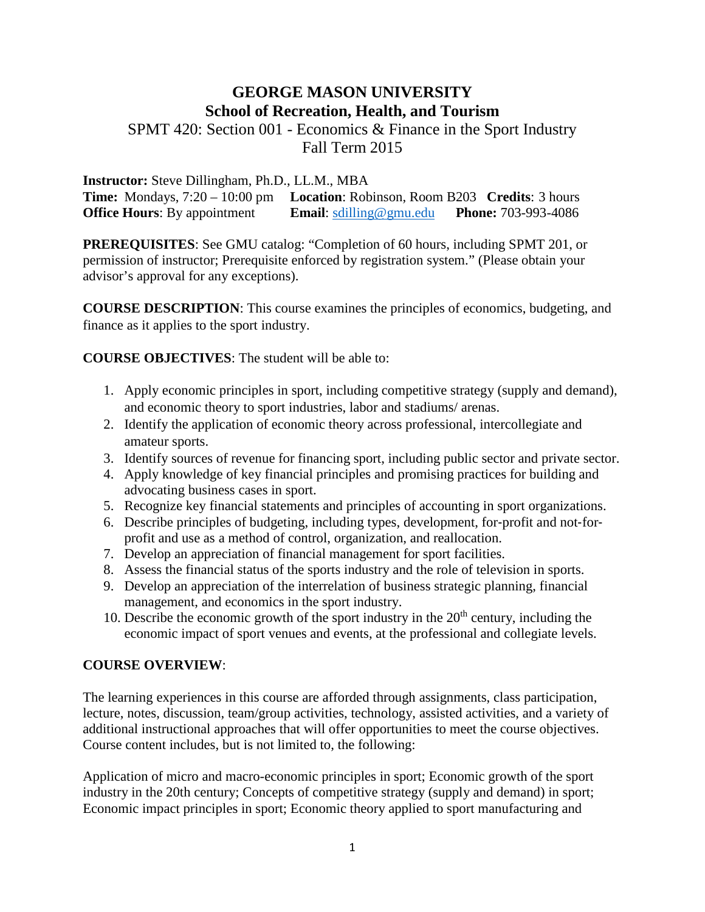# **GEORGE MASON UNIVERSITY School of Recreation, Health, and Tourism**

SPMT 420: Section 001 - Economics & Finance in the Sport Industry Fall Term 2015

**Instructor:** Steve Dillingham, Ph.D., LL.M., MBA

**Time:** Mondays, 7:20 – 10:00 pm **Location**: Robinson, Room B203 **Credits**: 3 hours **Office Hours**: By appointment **Email**: [sdilling@gmu.edu](mailto:sdilling@gmu.edu) **Phone:** 703-993-4086

**PREREQUISITES**: See GMU catalog: "Completion of 60 hours, including SPMT 201, or permission of instructor; Prerequisite enforced by registration system." (Please obtain your advisor's approval for any exceptions).

**COURSE DESCRIPTION**: This course examines the principles of economics, budgeting, and finance as it applies to the sport industry.

**COURSE OBJECTIVES**: The student will be able to:

- 1. Apply economic principles in sport, including competitive strategy (supply and demand), and economic theory to sport industries, labor and stadiums/ arenas.
- 2. Identify the application of economic theory across professional, intercollegiate and amateur sports.
- 3. Identify sources of revenue for financing sport, including public sector and private sector.
- 4. Apply knowledge of key financial principles and promising practices for building and advocating business cases in sport.
- 5. Recognize key financial statements and principles of accounting in sport organizations.
- 6. Describe principles of budgeting, including types, development, for-profit and not-forprofit and use as a method of control, organization, and reallocation.
- 7. Develop an appreciation of financial management for sport facilities.
- 8. Assess the financial status of the sports industry and the role of television in sports.
- 9. Develop an appreciation of the interrelation of business strategic planning, financial management, and economics in the sport industry.
- 10. Describe the economic growth of the sport industry in the  $20<sup>th</sup>$  century, including the economic impact of sport venues and events, at the professional and collegiate levels.

# **COURSE OVERVIEW**:

The learning experiences in this course are afforded through assignments, class participation, lecture, notes, discussion, team/group activities, technology, assisted activities, and a variety of additional instructional approaches that will offer opportunities to meet the course objectives. Course content includes, but is not limited to, the following:

Application of micro and macro-economic principles in sport; Economic growth of the sport industry in the 20th century; Concepts of competitive strategy (supply and demand) in sport; Economic impact principles in sport; Economic theory applied to sport manufacturing and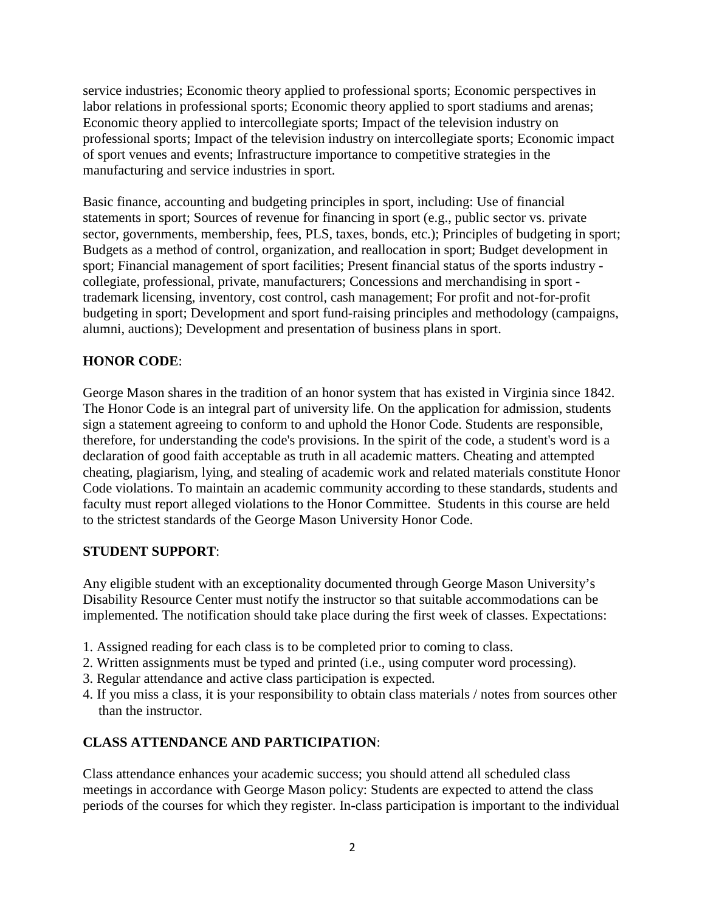service industries; Economic theory applied to professional sports; Economic perspectives in labor relations in professional sports; Economic theory applied to sport stadiums and arenas; Economic theory applied to intercollegiate sports; Impact of the television industry on professional sports; Impact of the television industry on intercollegiate sports; Economic impact of sport venues and events; Infrastructure importance to competitive strategies in the manufacturing and service industries in sport.

Basic finance, accounting and budgeting principles in sport, including: Use of financial statements in sport; Sources of revenue for financing in sport (e.g., public sector vs. private sector, governments, membership, fees, PLS, taxes, bonds, etc.); Principles of budgeting in sport; Budgets as a method of control, organization, and reallocation in sport; Budget development in sport; Financial management of sport facilities; Present financial status of the sports industry collegiate, professional, private, manufacturers; Concessions and merchandising in sport trademark licensing, inventory, cost control, cash management; For profit and not-for-profit budgeting in sport; Development and sport fund-raising principles and methodology (campaigns, alumni, auctions); Development and presentation of business plans in sport.

# **HONOR CODE**:

George Mason shares in the tradition of an honor system that has existed in Virginia since 1842. The Honor Code is an integral part of university life. On the application for admission, students sign a statement agreeing to conform to and uphold the Honor Code. Students are responsible, therefore, for understanding the code's provisions. In the spirit of the code, a student's word is a declaration of good faith acceptable as truth in all academic matters. Cheating and attempted cheating, plagiarism, lying, and stealing of academic work and related materials constitute Honor Code violations. To maintain an academic community according to these standards, students and faculty must report alleged violations to the Honor Committee. Students in this course are held to the strictest standards of the George Mason University Honor Code.

### **STUDENT SUPPORT**:

Any eligible student with an exceptionality documented through George Mason University's Disability Resource Center must notify the instructor so that suitable accommodations can be implemented. The notification should take place during the first week of classes. Expectations:

- 1. Assigned reading for each class is to be completed prior to coming to class.
- 2. Written assignments must be typed and printed (i.e., using computer word processing).
- 3. Regular attendance and active class participation is expected.
- 4. If you miss a class, it is your responsibility to obtain class materials / notes from sources other than the instructor.

# **CLASS ATTENDANCE AND PARTICIPATION**:

Class attendance enhances your academic success; you should attend all scheduled class meetings in accordance with George Mason policy: Students are expected to attend the class periods of the courses for which they register. In-class participation is important to the individual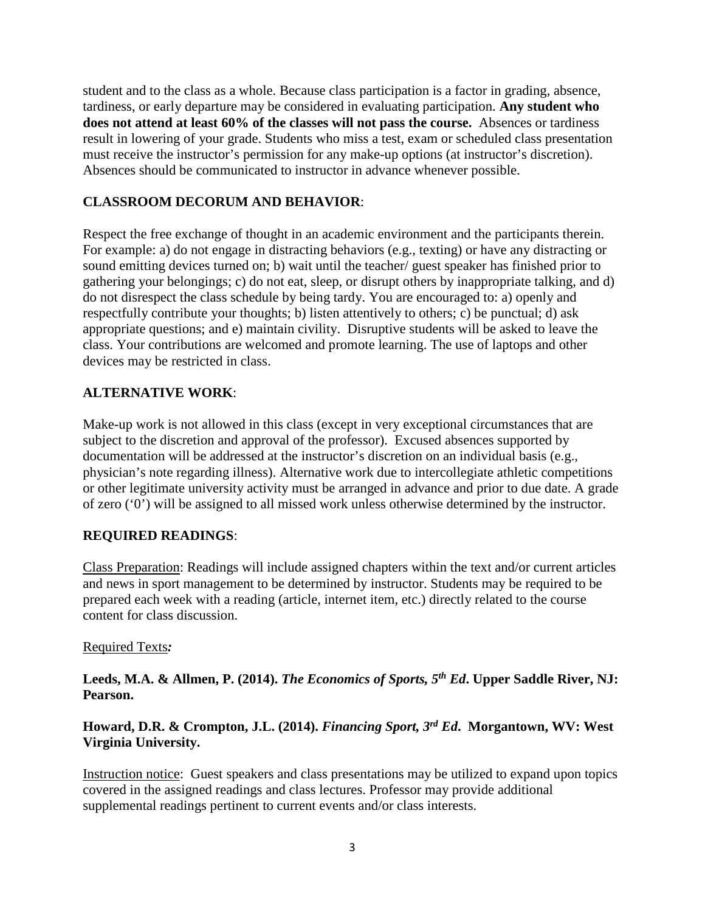student and to the class as a whole. Because class participation is a factor in grading, absence, tardiness, or early departure may be considered in evaluating participation. **Any student who does not attend at least 60% of the classes will not pass the course.** Absences or tardiness result in lowering of your grade. Students who miss a test, exam or scheduled class presentation must receive the instructor's permission for any make-up options (at instructor's discretion). Absences should be communicated to instructor in advance whenever possible.

## **CLASSROOM DECORUM AND BEHAVIOR**:

Respect the free exchange of thought in an academic environment and the participants therein. For example: a) do not engage in distracting behaviors (e.g., texting) or have any distracting or sound emitting devices turned on; b) wait until the teacher/ guest speaker has finished prior to gathering your belongings; c) do not eat, sleep, or disrupt others by inappropriate talking, and d) do not disrespect the class schedule by being tardy. You are encouraged to: a) openly and respectfully contribute your thoughts; b) listen attentively to others; c) be punctual; d) ask appropriate questions; and e) maintain civility. Disruptive students will be asked to leave the class. Your contributions are welcomed and promote learning. The use of laptops and other devices may be restricted in class.

## **ALTERNATIVE WORK**:

Make-up work is not allowed in this class (except in very exceptional circumstances that are subject to the discretion and approval of the professor). Excused absences supported by documentation will be addressed at the instructor's discretion on an individual basis (e.g., physician's note regarding illness). Alternative work due to intercollegiate athletic competitions or other legitimate university activity must be arranged in advance and prior to due date. A grade of zero ('0') will be assigned to all missed work unless otherwise determined by the instructor.

### **REQUIRED READINGS**:

Class Preparation: Readings will include assigned chapters within the text and/or current articles and news in sport management to be determined by instructor. Students may be required to be prepared each week with a reading (article, internet item, etc.) directly related to the course content for class discussion.

#### Required Texts*:*

**Leeds, M.A. & Allmen, P. (2014).** *The Economics of Sports, 5th Ed***. Upper Saddle River, NJ: Pearson.**

# **Howard, D.R. & Crompton, J.L. (2014).** *Financing Sport, 3rd Ed***. Morgantown, WV: West Virginia University.**

Instruction notice: Guest speakers and class presentations may be utilized to expand upon topics covered in the assigned readings and class lectures. Professor may provide additional supplemental readings pertinent to current events and/or class interests.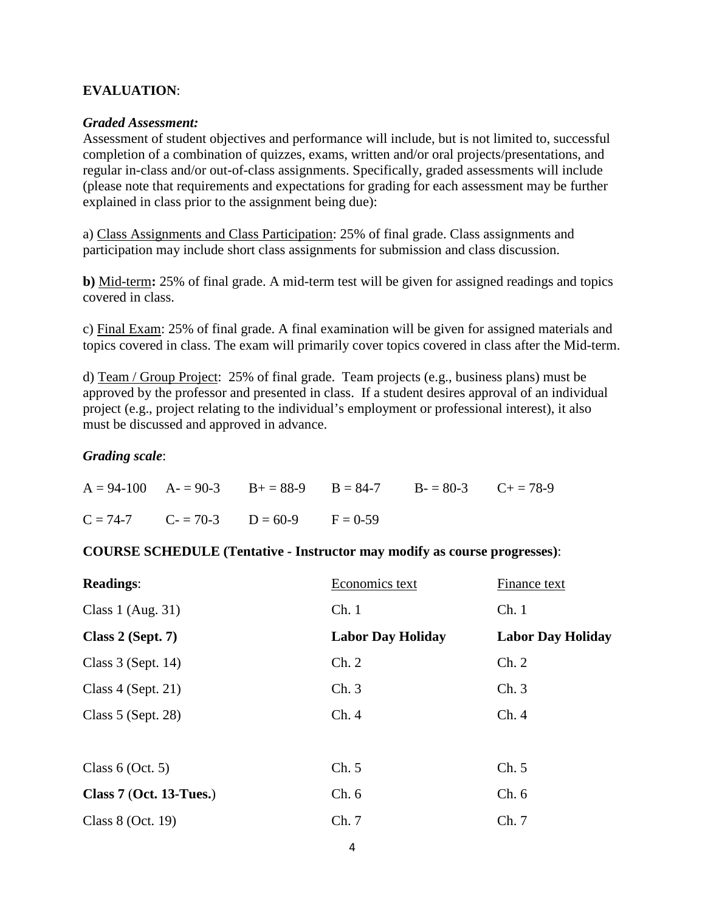#### **EVALUATION**:

#### *Graded Assessment:*

Assessment of student objectives and performance will include, but is not limited to, successful completion of a combination of quizzes, exams, written and/or oral projects/presentations, and regular in-class and/or out-of-class assignments. Specifically, graded assessments will include (please note that requirements and expectations for grading for each assessment may be further explained in class prior to the assignment being due):

a) Class Assignments and Class Participation: 25% of final grade. Class assignments and participation may include short class assignments for submission and class discussion.

**b)** Mid-term**:** 25% of final grade. A mid-term test will be given for assigned readings and topics covered in class.

c) Final Exam: 25% of final grade. A final examination will be given for assigned materials and topics covered in class. The exam will primarily cover topics covered in class after the Mid-term.

d) Team / Group Project: 25% of final grade. Team projects (e.g., business plans) must be approved by the professor and presented in class. If a student desires approval of an individual project (e.g., project relating to the individual's employment or professional interest), it also must be discussed and approved in advance.

#### *Grading scale*:

|  |                                             | $A = 94-100$ $A = 90-3$ $B = 88-9$ $B = 84-7$ $B = 80-3$ $C + 78-9$ |  |
|--|---------------------------------------------|---------------------------------------------------------------------|--|
|  | $C = 74-7$ $C = 70-3$ $D = 60-9$ $F = 0-59$ |                                                                     |  |

#### **COURSE SCHEDULE (Tentative - Instructor may modify as course progresses)**:

| <b>Readings:</b>          | Economics text           | Finance text             |
|---------------------------|--------------------------|--------------------------|
| Class 1 (Aug. 31)         | Ch.1                     | Ch.1                     |
| Class $2$ (Sept. 7)       | <b>Labor Day Holiday</b> | <b>Labor Day Holiday</b> |
| Class $3$ (Sept. 14)      | Ch. 2                    | Ch. 2                    |
| Class $4$ (Sept. 21)      | Ch.3                     | Ch.3                     |
| Class $5$ (Sept. 28)      | Ch.4                     | Ch.4                     |
|                           |                          |                          |
| Class $6$ (Oct. 5)        | Ch. 5                    | Ch. 5                    |
| Class $7$ (Oct. 13-Tues.) | Ch.6                     | Ch. 6                    |
| Class 8 (Oct. 19)         | Ch.7                     | Ch.7                     |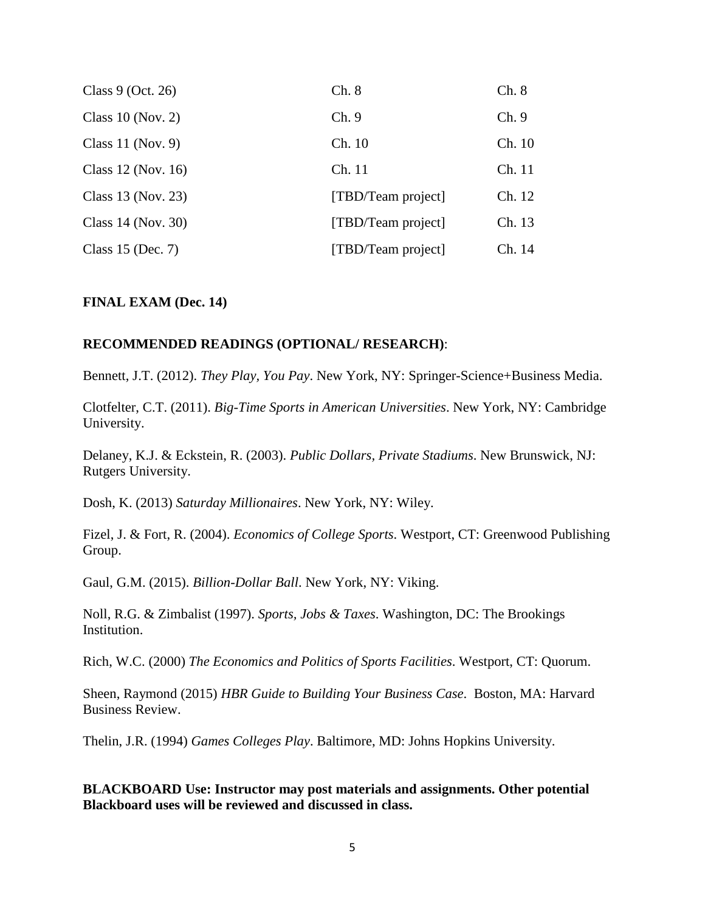| Class $9$ (Oct. 26)  | Ch. 8              | Ch. 8  |
|----------------------|--------------------|--------|
| Class $10$ (Nov. 2)  | Ch.9               | Ch.9   |
| Class 11 (Nov. 9)    | Ch. 10             | Ch. 10 |
| Class 12 (Nov. 16)   | Ch. 11             | Ch. 11 |
| Class 13 (Nov. 23)   | [TBD/Team project] | Ch. 12 |
| Class $14$ (Nov. 30) | [TBD/Team project] | Ch. 13 |
| Class 15 (Dec. 7)    | [TBD/Team project] | Ch. 14 |

#### **FINAL EXAM (Dec. 14)**

#### **RECOMMENDED READINGS (OPTIONAL/ RESEARCH)**:

Bennett, J.T. (2012). *They Play, You Pay*. New York, NY: Springer-Science+Business Media.

Clotfelter, C.T. (2011). *Big-Time Sports in American Universities*. New York, NY: Cambridge University.

Delaney, K.J. & Eckstein, R. (2003). *Public Dollars, Private Stadiums*. New Brunswick, NJ: Rutgers University.

Dosh, K. (2013) *Saturday Millionaires*. New York, NY: Wiley.

Fizel, J. & Fort, R. (2004). *Economics of College Sports*. Westport, CT: Greenwood Publishing Group.

Gaul, G.M. (2015). *Billion-Dollar Ball*. New York, NY: Viking.

Noll, R.G. & Zimbalist (1997). *Sports, Jobs & Taxes*. Washington, DC: The Brookings Institution.

Rich, W.C. (2000) *The Economics and Politics of Sports Facilities*. Westport, CT: Quorum.

Sheen, Raymond (2015) *HBR Guide to Building Your Business Case*. Boston, MA: Harvard Business Review.

Thelin, J.R. (1994) *Games Colleges Play*. Baltimore, MD: Johns Hopkins University.

**BLACKBOARD Use: Instructor may post materials and assignments. Other potential Blackboard uses will be reviewed and discussed in class.**